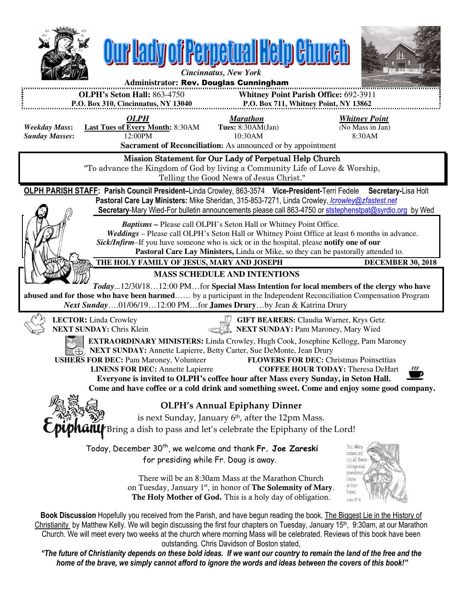

home of the brave, we simply cannot afford to ignore the words and ideas between the covers of this book!"